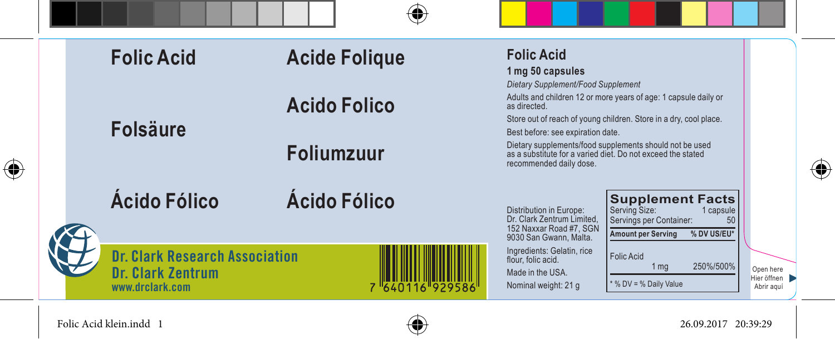

Folic Acid klein.indd 1 26.09.2017 20:39:29

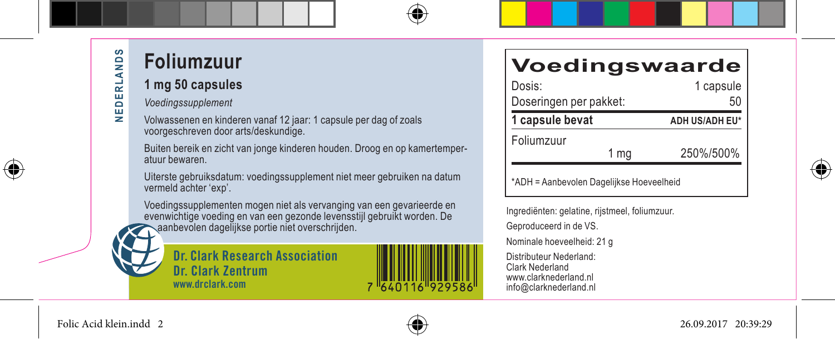| ၯ |
|---|
|   |
|   |
|   |
|   |
| ۰ |
|   |
| ÷ |
|   |
|   |

⊕

# **Foliumzuur**

### **1 mg 50 capsules**

- *Voedingssupplement*
- Ξ Volwassenen en kinderen vanaf 12 jaar: 1 capsule per dag of zoals voorgeschreven door arts/deskundige.

Buiten bereik en zicht van jonge kinderen houden. Droog en op kamertemper- atuur bewaren.

Uiterste gebruiksdatum: voedingssupplement niet meer gebruiken na datum vermeld achter 'exp'.

Voedingssupplementen mogen niet als vervanging van een gevarieerde en evenwichtige voeding en van een gezonde levensstijl gebruikt worden. De aanbevolen dagelijkse portie niet overschrijden.

**Dr. Clark Research Association Dr. Clark Zentrum www.drclark.com**



| Voedingswaarde |
|----------------|
|----------------|

| Dosis:<br>Doseringen per pakket: |      | 1 capsule<br>50 |
|----------------------------------|------|-----------------|
| 1 capsule bevat                  |      | ADH US/ADH EU*  |
| Foliumzuur                       |      |                 |
|                                  | 1 mg | 250%/500%       |



\*ADH = Aanbevolen Dagelijkse Hoeveelheid

Ingrediënten: gelatine, rijstmeel, foliumzuur. Geproduceerd in de VS. Nominale hoeveelheid: 21 g Distributeur Nederland: Clark Nederland www.clarknederland.nl info@clarknederland.nl

Folic Acid klein.indd 2 26.09.2017 20:39:29

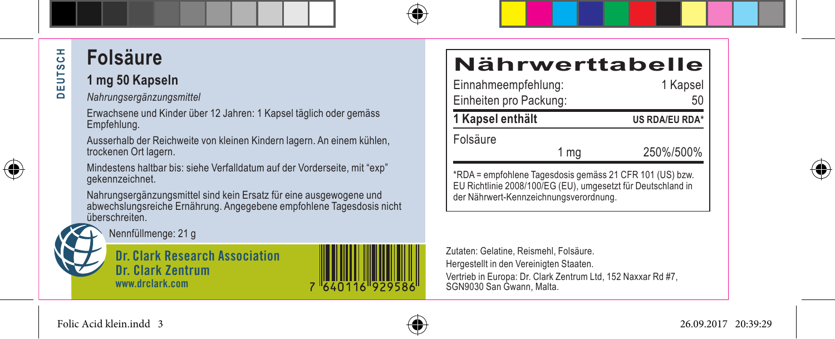#### 5<sub>CH</sub> **Folsäure DEUTSCH** 흡

ā

⊕

# **1 mg 50 Kapseln**

#### *Nahrungsergänzungsmittel*

Erwachsene und Kinder über 12 Jahren: 1 Kapsel täglich oder gemäss Empfehlung.

Ausserhalb der Reichweite von kleinen Kindern lagern. An einem kühlen, trockenen Ort lagern.

Mindestens haltbar bis: siehe Verfalldatum auf der Vorderseite, mit "exp" gekennzeichnet.

Nahrungsergänzungsmittel sind kein Ersatz für eine ausgewogene und abwechslungsreiche Ernährung. Angegebene empfohlene Tagesdosis nicht überschreiten.



Nennfüllmenge: 21 g

**Dr. Clark Research Association Dr. Clark Zentrum www.drclark.com**

# **Nährwerttabelle**

| Einnahmeempfehlung:                                      |      | 1 Kapsel              |
|----------------------------------------------------------|------|-----------------------|
| Einheiten pro Packung:                                   |      |                       |
| 1 Kapsel enthält                                         |      | <b>US RDA/EU RDA*</b> |
| Folsäure                                                 |      |                       |
|                                                          | 1 ma | 250%/500%             |
| *RDA = empfohlene Tagesdosis gemäss 21 CFR 101 (US) bzw. |      |                       |

\*RDA = empfohlene Tagesdosis gemäss 21 CFR 101 (US) bzw. EU Richtlinie 2008/100/EG (EU), umgesetzt für Deutschland in der Nährwert-Kennzeichnungsverordnung.

Zutaten: Gelatine, Reismehl, Folsäure. Hergestellt in den Vereinigten Staaten. Vertrieb in Europa: Dr. Clark Zentrum Ltd, 152 Naxxar Rd #7, SGN9030 San Gwann, Malta.





7 540116 929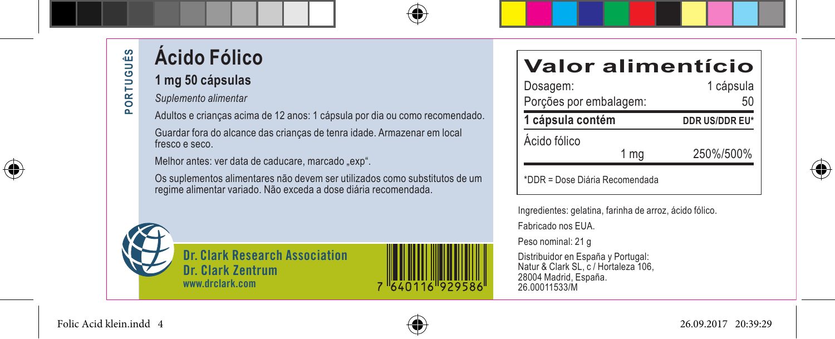

# **PORTUGUÊS Ácido Fólico** PORTUGUÊS

### **1 mg 50 cápsulas**

*Suplemento alimentar*

Adultos e crianças acima de 12 anos: 1 cápsula por dia ou como recomendado.

Guardar fora do alcance das crianças de tenra idade. Armazenar em local fresco e seco.

Melhor antes: ver data de caducare, marcado "exp".

Os suplementos alimentares não devem ser utilizados como substitutos de um regime alimentar variado. Não exceda a dose diária recomendada.





|                        | Valor alimentício |
|------------------------|-------------------|
| Dosagem:               | 1 cápsula         |
| Porções por embalagem: | 50                |
| 1 cápsula contém       | DDR US/DDR EU*    |
| Ácido fólico           | 250%/500%         |

\*DDR = Dose Diária Recomendada

Ingredientes: gelatina, farinha de arroz, ácido fólico. Fabricado nos EUA.

Peso nominal: 21 g

Distribuidor en España y Portugal: Natur & Clark SL, c / Hortaleza 106, 28004 Madrid, España. 26.00011533/M



Folic Acid klein.indd 4 26.09.2017 20:39:29

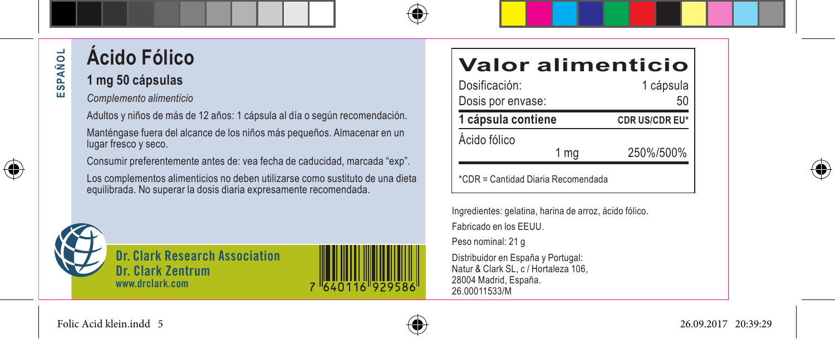# **ESPAÑOL**

⊕

# **Ácido Fólico**

### **1 mg 50 cápsulas**

*Complemento alimenticio*

Adultos y niños de más de 12 años: 1 cápsula al día o según recomendación.

Manténgase fuera del alcance de los niños más pequeños. Almacenar en un lugar fresco y seco.

Consumir preferentemente antes de: vea fecha de caducidad, marcada "exp".

Los complementos alimenticios no deben utilizarse como sustituto de una dieta equilibrada. No superar la dosis diaria expresamente recomendada.



**Dr. Clark Research Association Dr. Clark Zentrum www.drclark.com**

# **Valor alimenticio**

| Dosificación:                      |      | 1 cápsula      |
|------------------------------------|------|----------------|
| Dosis por envase:                  |      | 50             |
| 1 cápsula contiene                 |      | CDR US/CDR EU* |
| Ácido fólico                       |      |                |
|                                    | 1 ma | 250%/500%      |
| *CDR = Cantidad Diaria Recomendada |      |                |

Ingredientes: gelatina, harina de arroz, ácido fólico. Fabricado en los EEUU.

Peso nominal: 21 g

Distribuidor en España y Portugal: Natur & Clark SL, c / Hortaleza 106, 28004 Madrid, España. 26.00011533/M



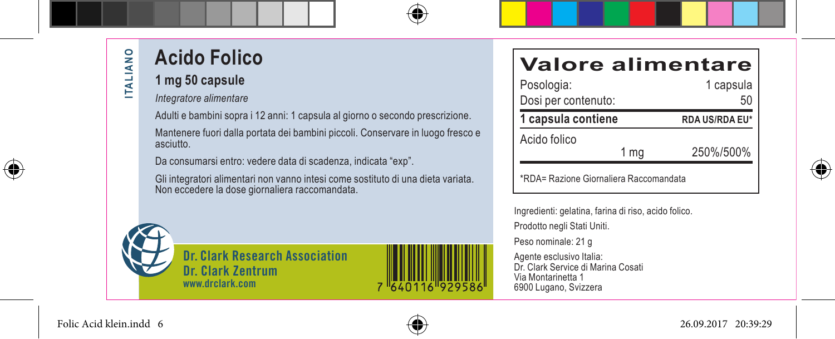

⊕

### **ITALIANO IANO Acido Folico**

### **1 mg 50 capsule**

#### *Integratore alimentare*

Adulti e bambini sopra i 12 anni: 1 capsula al giorno o secondo prescrizione. Mantenere fuori dalla portata dei bambini piccoli. Conservare in luogo fresco e asciutto.

Da consumarsi entro: vedere data di scadenza, indicata "exp".

Gli integratori alimentari non vanno intesi come sostituto di una dieta variata. Non eccedere la dose giornaliera raccomandata.





| Valore alimentare   |                       |
|---------------------|-----------------------|
| Posologia:          | 1 capsula             |
| Dosi per contenuto: | 50                    |
| 1 capsula contiene  | <b>RDA US/RDA EU*</b> |

1 mg 250%/500%

Acido folico

\*RDA= Razione Giornaliera Raccomandata

Ingredienti: gelatina, farina di riso, acido folico. Prodotto negli Stati Uniti. Peso nominale: 21 g Agente esclusivo Italia: Dr. Clark Service di Marina Cosati Via Montarinetta 1 6900 Lugano, Svizzera



Folic Acid klein.indd 6 26.09.2017 20:39:29

**ITALI** 

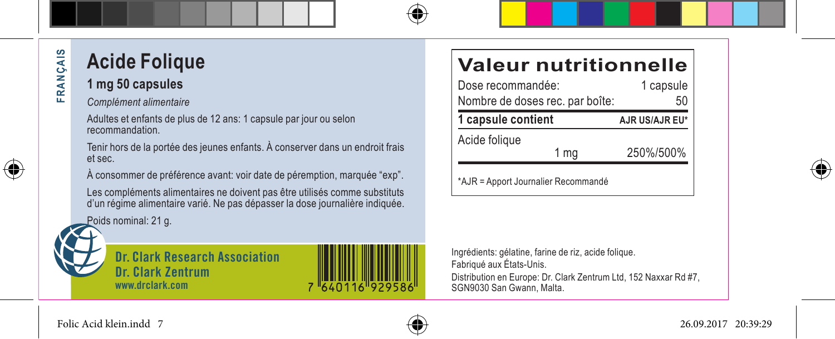

⊕

### **Acide Folique 1 mg 50 capsules**

*Complément alimentaire*

Adultes et enfants de plus de 12 ans: 1 capsule par jour ou selon recommandation.

Tenir hors de la portée des jeunes enfants. À conserver dans un endroit frais et sec.

À consommer de préférence avant: voir date de péremption, marquée "exp".

Les compléments alimentaires ne doivent pas être utilisés comme substituts d'un régime alimentaire varié. Ne pas dépasser la dose journalière indiquée.

Poids nominal: 21 g.



**Dr. Clark Research Association Dr. Clark Zentrum www.drclark.com**

### **Valeur nutritionnelle**

| Dose recommandée:<br>Nombre de doses rec. par boîte: | 1 capsule<br>50 |
|------------------------------------------------------|-----------------|
| 1 capsule contient                                   | AJR US/AJR EU*  |
| Acide folique                                        |                 |
| 1 mg                                                 | 250%/500%       |
|                                                      |                 |

\*AJR = Apport Journalier Recommandé

Ingrédients: gélatine, farine de riz, acide folique. Fabriqué aux États-Unis. Distribution en Europe: Dr. Clark Zentrum Ltd, 152 Naxxar Rd #7, SGN9030 San Gwann, Malta.



Folic Acid klein.indd 7 26.09.2017 20:39:29